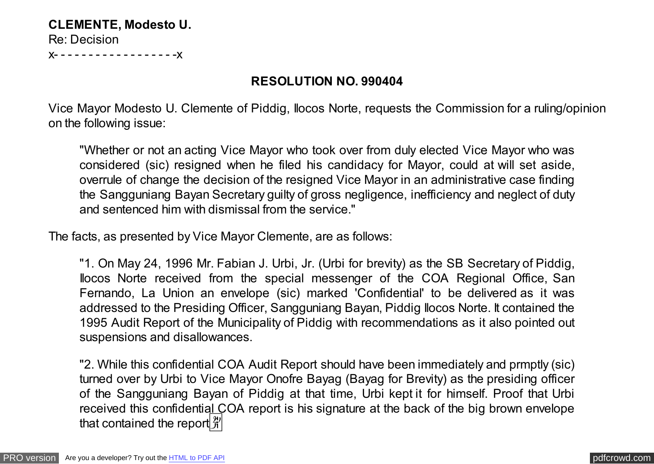**CLEMENTE, Modesto U.**

Re: Decision

x- - - - - - - - - - - - - - - - - -x

## **RESOLUTION NO. 990404**

Vice Mayor Modesto U. Clemente of Piddig, Ilocos Norte, requests the Commission for a ruling/opinion on the following issue:

"Whether or not an acting Vice Mayor who took over from duly elected Vice Mayor who was considered (sic) resigned when he filed his candidacy for Mayor, could at will set aside, overrule of change the decision of the resigned Vice Mayor in an administrative case finding the Sangguniang Bayan Secretary guilty of gross negligence, inefficiency and neglect of duty and sentenced him with dismissal from the service."

The facts, as presented by Vice Mayor Clemente, are as follows:

"1. On May 24, 1996 Mr. Fabian J. Urbi, Jr. (Urbi for brevity) as the SB Secretary of Piddig, Ilocos Norte received from the special messenger of the COA Regional Office, San Fernando, La Union an envelope (sic) marked 'Confidential' to be delivered as it was addressed to the Presiding Officer, Sangguniang Bayan, Piddig Ilocos Norte. It contained the 1995 Audit Report of the Municipality of Piddig with recommendations as it also pointed out suspensions and disallowances.

"2. While this confidential COA Audit Report should have been immediately and prmptly (sic) turned over by Urbi to Vice Mayor Onofre Bayag (Bayag for Brevity) as the presiding officer of the Sangguniang Bayan of Piddig at that time, Urbi kept it for himself. Proof that Urbi received this confidential COA report is his signature at the back of the big brown envelope that contained the report  $\frac{3}{4}$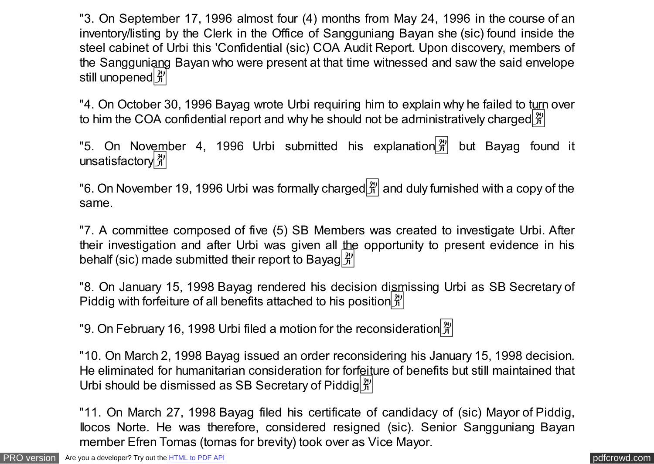"3. On September 17, 1996 almost four (4) months from May 24, 1996 in the course of an inventory/listing by the Clerk in the Office of Sangguniang Bayan she (sic) found inside the steel cabinet of Urbi this 'Confidential (sic) COA Audit Report. Upon discovery, members of the Sangguniang Bayan who were present at that time witnessed and saw the said envelope still unopened  $\frac{29}{3}$ 

"4. On October 30, 1996 Bayag wrote Urbi requiring him to explain why he failed to turn over to him the COA confidential report and why he should not be administratively charged  $\frac{20}{3}$ 

"5. On November 4, 1996 Urbi submitted his explanation  $\frac{3}{4}$  but Bayag found it unsatisfactory 3

"6. On November 19, 1996 Urbi was formally charged  $\frac{2}{3}$  and duly furnished with a copy of the same.

"7. A committee composed of five (5) SB Members was created to investigate Urbi. After their investigation and after Urbi was given all the opportunity to present evidence in his behalf (sic) made submitted their report to Bayag  $\frac{39}{21}$ 

"8. On January 15, 1998 Bayag rendered his decision dismissing Urbi as SB Secretary of Piddig with forfeiture of all benefits attached to his position  $\frac{18}{3}$ 

"9. On February 16, 1998 Urbi filed a motion for the reconsideration  $\frac{29}{31}$ 

"10. On March 2, 1998 Bayag issued an order reconsidering his January 15, 1998 decision. He eliminated for humanitarian consideration for forfeiture of benefits but still maintained that Urbi should be dismissed as SB Secretary of Piddig $\frac{12}{3}$ 

"11. On March 27, 1998 Bayag filed his certificate of candidacy of (sic) Mayor of Piddig, Ilocos Norte. He was therefore, considered resigned (sic). Senior Sangguniang Bayan member Efren Tomas (tomas for brevity) took over as Vice Mayor.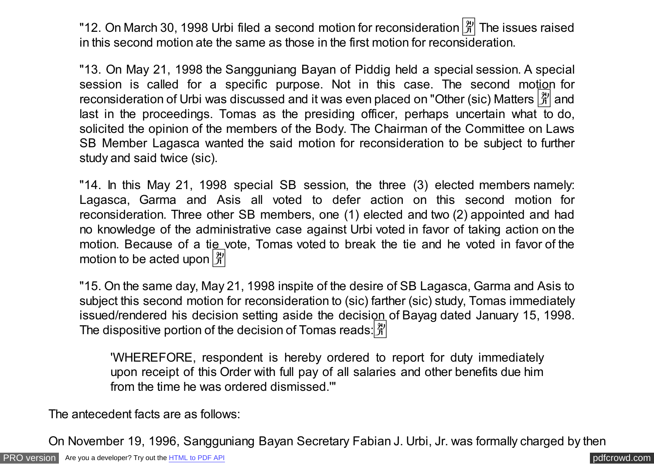"12. On March 30, 1998 Urbi filed a second motion for reconsideration  $\frac{12}{3}$  The issues raised in this second motion ate the same as those in the first motion for reconsideration.

"13. On May 21, 1998 the Sangguniang Bayan of Piddig held a special session. A special session is called for a specific purpose. Not in this case. The second motion for reconsideration of Urbi was discussed and it was even placed on "Other (sic) Matters  $\frac{12}{11}$  and last in the proceedings. Tomas as the presiding officer, perhaps uncertain what to do, solicited the opinion of the members of the Body. The Chairman of the Committee on Laws SB Member Lagasca wanted the said motion for reconsideration to be subject to further study and said twice (sic).

"14. In this May 21, 1998 special SB session, the three (3) elected members namely: Lagasca, Garma and Asis all voted to defer action on this second motion for reconsideration. Three other SB members, one (1) elected and two (2) appointed and had no knowledge of the administrative case against Urbi voted in favor of taking action on the motion. Because of a tie vote, Tomas voted to break the tie and he voted in favor of the motion to be acted upon  $\mathcal{Z}$ 

"15. On the same day, May 21, 1998 inspite of the desire of SB Lagasca, Garma and Asis to subject this second motion for reconsideration to (sic) farther (sic) study, Tomas immediately issued/rendered his decision setting aside the decision of Bayag dated January 15, 1998. The dispositive portion of the decision of Tomas reads: $\frac{3!}{2!}$ 

'WHEREFORE, respondent is hereby ordered to report for duty immediately upon receipt of this Order with full pay of all salaries and other benefits due him from the time he was ordered dismissed.'"

The antecedent facts are as follows:

On November 19, 1996, Sangguniang Bayan Secretary Fabian J. Urbi, Jr. was formally charged by then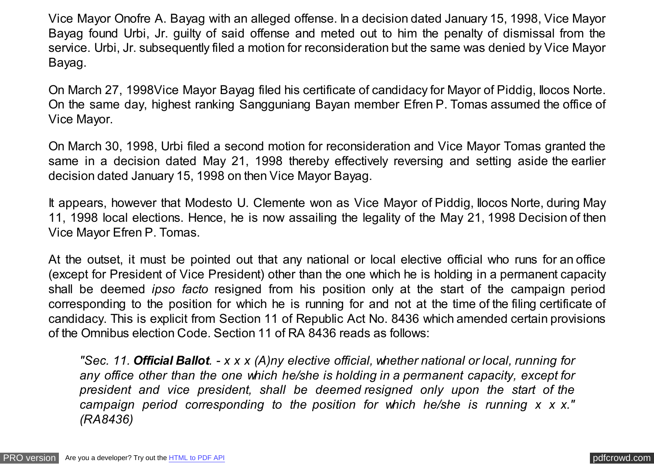Vice Mayor Onofre A. Bayag with an alleged offense. In a decision dated January 15, 1998, Vice Mayor Bayag found Urbi, Jr. guilty of said offense and meted out to him the penalty of dismissal from the service. Urbi, Jr. subsequently filed a motion for reconsideration but the same was denied by Vice Mayor Bayag.

On March 27, 1998Vice Mayor Bayag filed his certificate of candidacy for Mayor of Piddig, Ilocos Norte. On the same day, highest ranking Sangguniang Bayan member Efren P. Tomas assumed the office of Vice Mayor.

On March 30, 1998, Urbi filed a second motion for reconsideration and Vice Mayor Tomas granted the same in a decision dated May 21, 1998 thereby effectively reversing and setting aside the earlier decision dated January 15, 1998 on then Vice Mayor Bayag.

It appears, however that Modesto U. Clemente won as Vice Mayor of Piddig, Ilocos Norte, during May 11, 1998 local elections. Hence, he is now assailing the legality of the May 21, 1998 Decision of then Vice Mayor Efren P. Tomas.

At the outset, it must be pointed out that any national or local elective official who runs for an office (except for President of Vice President) other than the one which he is holding in a permanent capacity shall be deemed *ipso facto* resigned from his position only at the start of the campaign period corresponding to the position for which he is running for and not at the time of the filing certificate of candidacy. This is explicit from Section 11 of Republic Act No. 8436 which amended certain provisions of the Omnibus election Code. Section 11 of RA 8436 reads as follows:

*"Sec. 11. Official Ballot. - x x x (A)ny elective official, whether national or local, running for any office other than the one which he/she is holding in a permanent capacity, except for president and vice president, shall be deemed resigned only upon the start of the campaign period corresponding to the position for which he/she is running x x x." (RA8436)*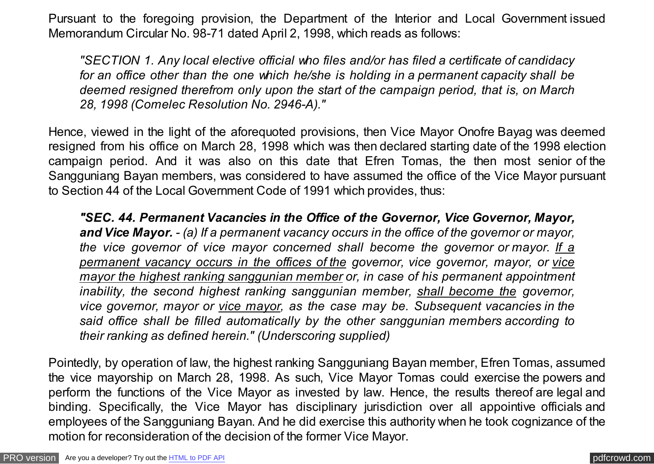Pursuant to the foregoing provision, the Department of the Interior and Local Government issued Memorandum Circular No. 98-71 dated April 2, 1998, which reads as follows:

*"SECTION 1. Any local elective official who files and/or has filed a certificate of candidacy for an office other than the one which he/she is holding in a permanent capacity shall be deemed resigned therefrom only upon the start of the campaign period, that is, on March 28, 1998 (Comelec Resolution No. 2946-A)."*

Hence, viewed in the light of the aforequoted provisions, then Vice Mayor Onofre Bayag was deemed resigned from his office on March 28, 1998 which was then declared starting date of the 1998 election campaign period. And it was also on this date that Efren Tomas, the then most senior of the Sangguniang Bayan members, was considered to have assumed the office of the Vice Mayor pursuant to Section 44 of the Local Government Code of 1991 which provides, thus:

*"SEC. 44. Permanent Vacancies in the Office of the Governor, Vice Governor, Mayor, and Vice Mayor. - (a) If a permanent vacancy occurs in the office of the governor or mayor, the vice governor of vice mayor concerned shall become the governor or mayor. If a permanent vacancy occurs in the offices of the governor, vice governor, mayor, or vice mayor the highest ranking sanggunian member or, in case of his permanent appointment inability, the second highest ranking sanggunian member, shall become the governor, vice governor, mayor or vice mayor, as the case may be. Subsequent vacancies in the said office shall be filled automatically by the other sanggunian members according to their ranking as defined herein." (Underscoring supplied)*

Pointedly, by operation of law, the highest ranking Sangguniang Bayan member, Efren Tomas, assumed the vice mayorship on March 28, 1998. As such, Vice Mayor Tomas could exercise the powers and perform the functions of the Vice Mayor as invested by law. Hence, the results thereof are legal and binding. Specifically, the Vice Mayor has disciplinary jurisdiction over all appointive officials and employees of the Sangguniang Bayan. And he did exercise this authority when he took cognizance of the motion for reconsideration of the decision of the former Vice Mayor.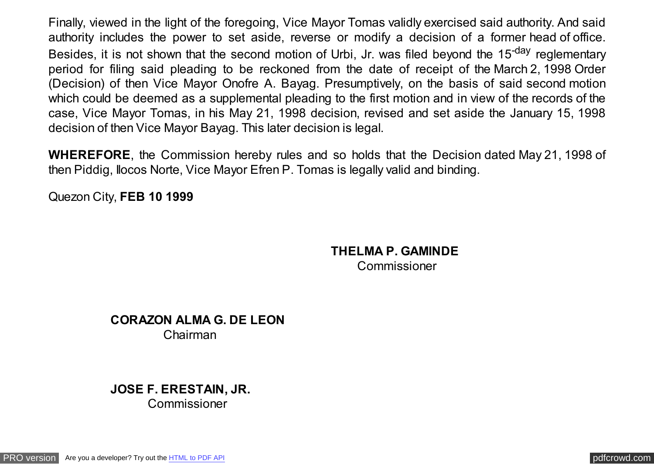Finally, viewed in the light of the foregoing, Vice Mayor Tomas validly exercised said authority. And said authority includes the power to set aside, reverse or modify a decision of a former head of office. Besides, it is not shown that the second motion of Urbi, Jr. was filed beyond the 15<sup>-day</sup> reglementary period for filing said pleading to be reckoned from the date of receipt of the March 2, 1998 Order (Decision) of then Vice Mayor Onofre A. Bayag. Presumptively, on the basis of said second motion which could be deemed as a supplemental pleading to the first motion and in view of the records of the case, Vice Mayor Tomas, in his May 21, 1998 decision, revised and set aside the January 15, 1998 decision of then Vice Mayor Bayag. This later decision is legal.

**WHEREFORE**, the Commission hereby rules and so holds that the Decision dated May 21, 1998 of then Piddig, Ilocos Norte, Vice Mayor Efren P. Tomas is legally valid and binding.

Quezon City, **FEB 10 1999**

 **THELMA P. GAMINDE** Commissioner

**CORAZON ALMA G. DE LEON**  Chairman

**JOSE F. ERESTAIN, JR.** 

**Commissioner** 

[PRO version](http://pdfcrowd.com/customize/) Are you a developer? Try out th[e HTML to PDF API](http://pdfcrowd.com/html-to-pdf-api/?ref=pdf) provided and the example of the HTML to PDF API posterior of the example of the example of the example of the example of the example of the example of the exampl